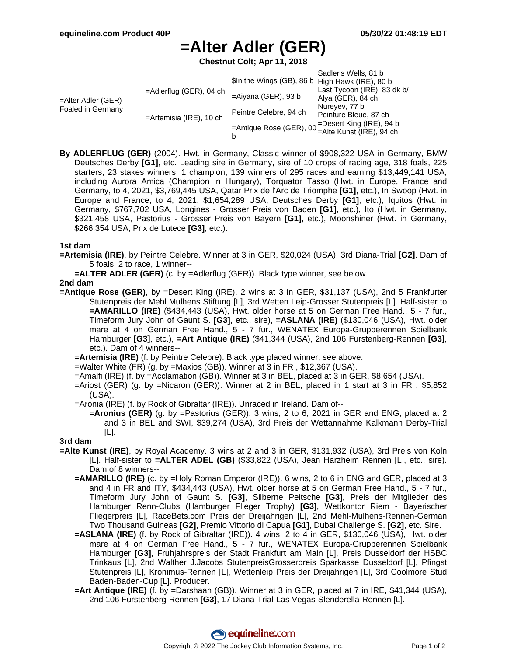# **=Alter Adler (GER)**

**Chestnut Colt; Apr 11, 2018**

|                                         |                            |                                                 | Sadler's Wells, 81 b        |
|-----------------------------------------|----------------------------|-------------------------------------------------|-----------------------------|
| =Alter Adler (GER)<br>Foaled in Germany | $=$ Adlerflug (GER), 04 ch | \$In the Wings (GB), 86 b High Hawk (IRE), 80 b |                             |
|                                         |                            | $=$ Aiyana (GER), 93 b                          | Last Tycoon (IRE), 83 dk b/ |
|                                         |                            |                                                 | Alya (GER), 84 ch           |
|                                         | $=$ Artemisia (IRE), 10 ch | Peintre Celebre, 94 ch                          | Nureyev, 77 b               |
|                                         |                            |                                                 | Peinture Bleue, 87 ch       |
|                                         |                            | =Desert King (IRE), 94 b                        |                             |
|                                         |                            |                                                 |                             |
|                                         |                            | b                                               |                             |

**By ADLERFLUG (GER)** (2004). Hwt. in Germany, Classic winner of \$908,322 USA in Germany, BMW Deutsches Derby **[G1]**, etc. Leading sire in Germany, sire of 10 crops of racing age, 318 foals, 225 starters, 23 stakes winners, 1 champion, 139 winners of 295 races and earning \$13,449,141 USA, including Aurora Amica (Champion in Hungary), Torquator Tasso (Hwt. in Europe, France and Germany, to 4, 2021, \$3,769,445 USA, Qatar Prix de l'Arc de Triomphe **[G1]**, etc.), In Swoop (Hwt. in Europe and France, to 4, 2021, \$1,654,289 USA, Deutsches Derby **[G1]**, etc.), Iquitos (Hwt. in Germany, \$767,702 USA, Longines - Grosser Preis von Baden **[G1]**, etc.), Ito (Hwt. in Germany, \$321,458 USA, Pastorius - Grosser Preis von Bayern **[G1]**, etc.), Moonshiner (Hwt. in Germany, \$266,354 USA, Prix de Lutece **[G3]**, etc.).

### **1st dam**

- **=Artemisia (IRE)**, by Peintre Celebre. Winner at 3 in GER, \$20,024 (USA), 3rd Diana-Trial **[G2]**. Dam of 5 foals, 2 to race, 1 winner--
	- **=ALTER ADLER (GER)** (c. by =Adlerflug (GER)). Black type winner, see below.

**2nd dam**

**=Antique Rose (GER)**, by =Desert King (IRE). 2 wins at 3 in GER, \$31,137 (USA), 2nd 5 Frankfurter Stutenpreis der Mehl Mulhens Stiftung [L], 3rd Wetten Leip-Grosser Stutenpreis [L]. Half-sister to **=AMARILLO (IRE)** (\$434,443 (USA), Hwt. older horse at 5 on German Free Hand., 5 - 7 fur., Timeform Jury John of Gaunt S. **[G3]**, etc., sire), **=ASLANA (IRE)** (\$130,046 (USA), Hwt. older mare at 4 on German Free Hand., 5 - 7 fur., WENATEX Europa-Grupperennen Spielbank Hamburger **[G3]**, etc.), **=Art Antique (IRE)** (\$41,344 (USA), 2nd 106 Furstenberg-Rennen **[G3]**, etc.). Dam of 4 winners--

**=Artemisia (IRE)** (f. by Peintre Celebre). Black type placed winner, see above.

- =Walter White (FR) (g. by =Maxios (GB)). Winner at 3 in FR , \$12,367 (USA).
- =Amalfi (IRE) (f. by =Acclamation (GB)). Winner at 3 in BEL, placed at 3 in GER, \$8,654 (USA).
- =Ariost (GER) (g. by =Nicaron (GER)). Winner at 2 in BEL, placed in 1 start at 3 in FR , \$5,852 (USA).
- =Aronia (IRE) (f. by Rock of Gibraltar (IRE)). Unraced in Ireland. Dam of--
	- **=Aronius (GER)** (g. by =Pastorius (GER)). 3 wins, 2 to 6, 2021 in GER and ENG, placed at 2 and 3 in BEL and SWI, \$39,274 (USA), 3rd Preis der Wettannahme Kalkmann Derby-Trial [L].

## **3rd dam**

- **=Alte Kunst (IRE)**, by Royal Academy. 3 wins at 2 and 3 in GER, \$131,932 (USA), 3rd Preis von Koln [L]. Half-sister to **=ALTER ADEL (GB)** (\$33,822 (USA), Jean Harzheim Rennen [L], etc., sire). Dam of 8 winners--
	- **=AMARILLO (IRE)** (c. by =Holy Roman Emperor (IRE)). 6 wins, 2 to 6 in ENG and GER, placed at 3 and 4 in FR and ITY, \$434,443 (USA), Hwt. older horse at 5 on German Free Hand., 5 - 7 fur., Timeform Jury John of Gaunt S. **[G3]**, Silberne Peitsche **[G3]**, Preis der Mitglieder des Hamburger Renn-Clubs (Hamburger Flieger Trophy) **[G3]**, Wettkontor Riem - Bayerischer Fliegerpreis [L], RaceBets.com Preis der Dreijahrigen [L], 2nd Mehl-Mulhens-Rennen-German Two Thousand Guineas **[G2]**, Premio Vittorio di Capua **[G1]**, Dubai Challenge S. **[G2]**, etc. Sire.
	- **=ASLANA (IRE)** (f. by Rock of Gibraltar (IRE)). 4 wins, 2 to 4 in GER, \$130,046 (USA), Hwt. older mare at 4 on German Free Hand., 5 - 7 fur., WENATEX Europa-Grupperennen Spielbank Hamburger **[G3]**, Fruhjahrspreis der Stadt Frankfurt am Main [L], Preis Dusseldorf der HSBC Trinkaus [L], 2nd Walther J.Jacobs StutenpreisGrosserpreis Sparkasse Dusseldorf [L], Pfingst Stutenpreis [L], Kronimus-Rennen [L], Wettenleip Preis der Dreijahrigen [L], 3rd Coolmore Stud Baden-Baden-Cup [L]. Producer.
	- **=Art Antique (IRE)** (f. by =Darshaan (GB)). Winner at 3 in GER, placed at 7 in IRE, \$41,344 (USA), 2nd 106 Furstenberg-Rennen **[G3]**, 17 Diana-Trial-Las Vegas-Slenderella-Rennen [L].